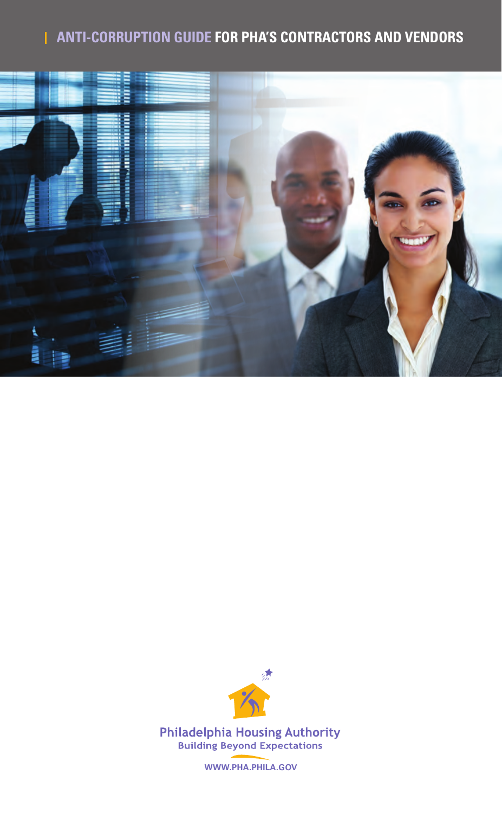# **Anti-Corruption Guide For PHA's Contractors and Vendors**





**Philadelphia Housing Authority Building Beyond Expectations** 

**www.pha.phila.gov**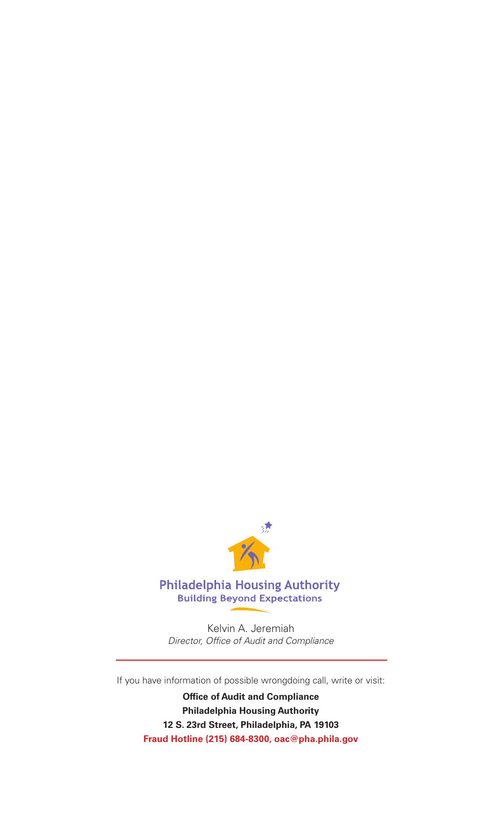

#### **Philadelphia Housing Authority Building Beyond Expectations**

Kelvin A. Jeremiah *Director, Office of Audit and Compliance*

If you have information of possible wrongdoing call, write or visit:

**Office of Audit and Compliance Philadelphia Housing Authority 12 S. 23rd Street, Philadelphia, PA 19103 Fraud Hotline (215) 684-8300, oac@pha.phila.gov**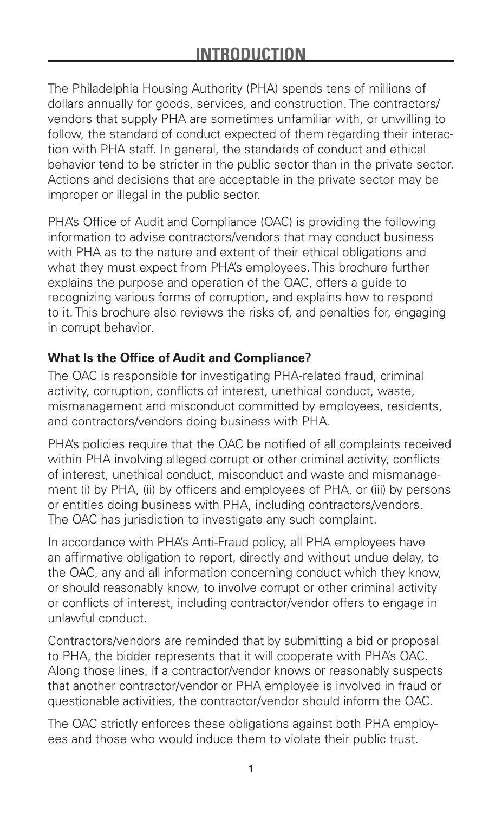The Philadelphia Housing Authority (PHA) spends tens of millions of dollars annually for goods, services, and construction. The contractors/ vendors that supply PHA are sometimes unfamiliar with, or unwilling to follow, the standard of conduct expected of them regarding their interaction with PHA staff. In general, the standards of conduct and ethical behavior tend to be stricter in the public sector than in the private sector. Actions and decisions that are acceptable in the private sector may be improper or illegal in the public sector.

PHA's Office of Audit and Compliance (OAC) is providing the following information to advise contractors/vendors that may conduct business with PHA as to the nature and extent of their ethical obligations and what they must expect from PHA's employees. This brochure further explains the purpose and operation of the OAC, offers a guide to recognizing various forms of corruption, and explains how to respond to it. This brochure also reviews the risks of, and penalties for, engaging in corrupt behavior.

# **What Is the Office of Audit and Compliance?**

The OAC is responsible for investigating PHA-related fraud, criminal activity, corruption, conflicts of interest, unethical conduct, waste, mismanagement and misconduct committed by employees, residents, and contractors/vendors doing business with PHA.

PHA's policies require that the OAC be notified of all complaints received within PHA involving alleged corrupt or other criminal activity, conflicts of interest, unethical conduct, misconduct and waste and mismanagement (i) by PHA, (ii) by officers and employees of PHA, or (iii) by persons or entities doing business with PHA, including contractors/vendors. The OAC has jurisdiction to investigate any such complaint.

In accordance with PHA's Anti-Fraud policy, all PHA employees have an affirmative obligation to report, directly and without undue delay, to the OAC, any and all information concerning conduct which they know, or should reasonably know, to involve corrupt or other criminal activity or conflicts of interest, including contractor/vendor offers to engage in unlawful conduct.

Contractors/vendors are reminded that by submitting a bid or proposal to PHA, the bidder represents that it will cooperate with PHA's OAC. Along those lines, if a contractor/vendor knows or reasonably suspects that another contractor/vendor or PHA employee is involved in fraud or questionable activities, the contractor/vendor should inform the OAC.

The OAC strictly enforces these obligations against both PHA employees and those who would induce them to violate their public trust.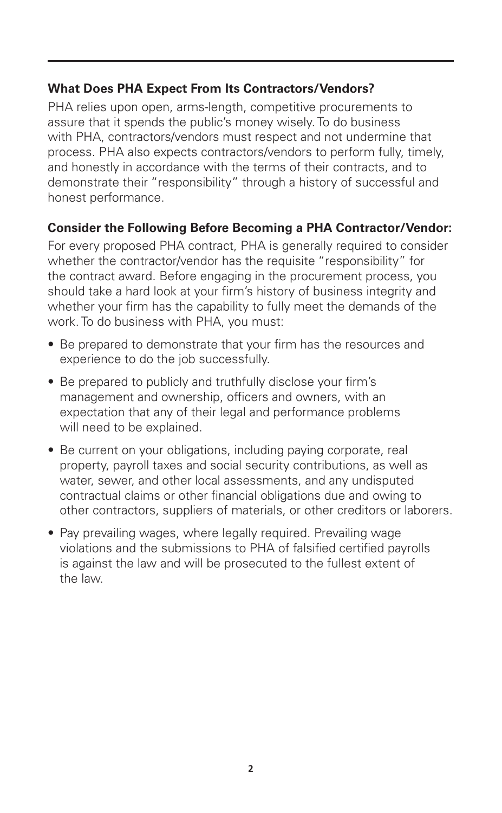## **What Does PHA Expect From Its Contractors/Vendors?**

PHA relies upon open, arms-length, competitive procurements to assure that it spends the public's money wisely. To do business with PHA, contractors/vendors must respect and not undermine that process. PHA also expects contractors/vendors to perform fully, timely, and honestly in accordance with the terms of their contracts, and to demonstrate their "responsibility" through a history of successful and honest performance.

## **Consider the Following Before Becoming a PHA Contractor/Vendor:**

For every proposed PHA contract, PHA is generally required to consider whether the contractor/vendor has the requisite "responsibility" for the contract award. Before engaging in the procurement process, you should take a hard look at your firm's history of business integrity and whether your firm has the capability to fully meet the demands of the work. To do business with PHA, you must:

- Be prepared to demonstrate that your firm has the resources and experience to do the job successfully.
- Be prepared to publicly and truthfully disclose your firm's management and ownership, officers and owners, with an expectation that any of their legal and performance problems will need to be explained.
- Be current on your obligations, including paying corporate, real property, payroll taxes and social security contributions, as well as water, sewer, and other local assessments, and any undisputed contractual claims or other financial obligations due and owing to other contractors, suppliers of materials, or other creditors or laborers.
- Pay prevailing wages, where legally required. Prevailing wage violations and the submissions to PHA of falsified certified payrolls is against the law and will be prosecuted to the fullest extent of the law.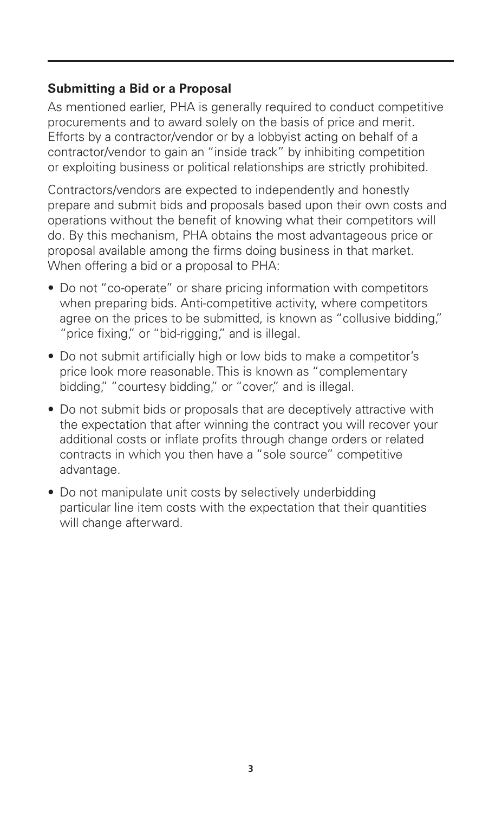### **Submitting a Bid or a Proposal**

As mentioned earlier, PHA is generally required to conduct competitive procurements and to award solely on the basis of price and merit. Efforts by a contractor/vendor or by a lobbyist acting on behalf of a contractor/vendor to gain an "inside track" by inhibiting competition or exploiting business or political relationships are strictly prohibited.

Contractors/vendors are expected to independently and honestly prepare and submit bids and proposals based upon their own costs and operations without the benefit of knowing what their competitors will do. By this mechanism, PHA obtains the most advantageous price or proposal available among the firms doing business in that market. When offering a bid or a proposal to PHA:

- Do not "co-operate" or share pricing information with competitors when preparing bids. Anti-competitive activity, where competitors agree on the prices to be submitted, is known as "collusive bidding," "price fixing," or "bid-rigging," and is illegal.
- Do not submit artificially high or low bids to make a competitor's price look more reasonable. This is known as "complementary bidding," "courtesy bidding," or "cover," and is illegal.
- Do not submit bids or proposals that are deceptively attractive with the expectation that after winning the contract you will recover your additional costs or inflate profits through change orders or related contracts in which you then have a "sole source" competitive advantage.
- Do not manipulate unit costs by selectively underbidding particular line item costs with the expectation that their quantities will change afterward.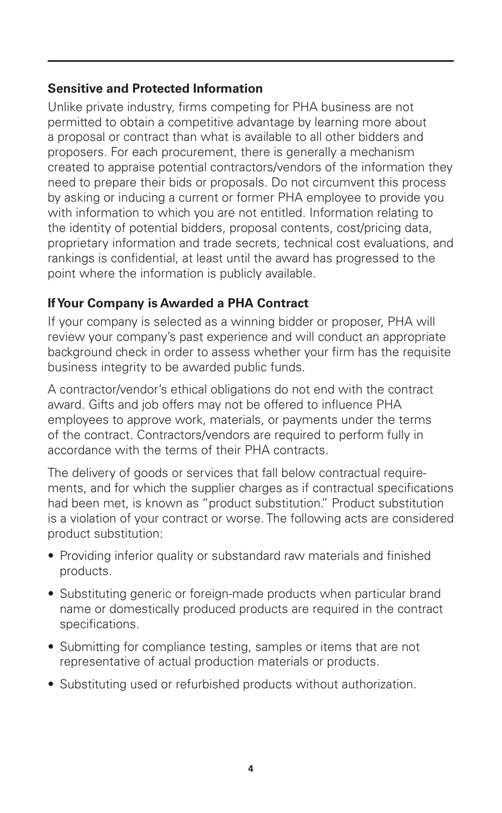### **Sensitive and Protected Information**

Unlike private industry, firms competing for PHA business are not permitted to obtain a competitive advantage by learning more about a proposal or contract than what is available to all other bidders and proposers. For each procurement, there is generally a mechanism created to appraise potential contractors/vendors of the information they need to prepare their bids or proposals. Do not circumvent this process by asking or inducing a current or former PHA employee to provide you with information to which you are not entitled. Information relating to the identity of potential bidders, proposal contents, cost/pricing data, proprietary information and trade secrets, technical cost evaluations, and rankings is confidential, at least until the award has progressed to the point where the information is publicly available.

# **If Your Company is Awarded a PHA Contract**

If your company is selected as a winning bidder or proposer, PHA will review your company's past experience and will conduct an appropriate background check in order to assess whether your firm has the requisite business integrity to be awarded public funds.

A contractor/vendor's ethical obligations do not end with the contract award. Gifts and job offers may not be offered to influence PHA employees to approve work, materials, or payments under the terms of the contract. Contractors/vendors are required to perform fully in accordance with the terms of their PHA contracts.

The delivery of goods or services that fall below contractual requirements, and for which the supplier charges as if contractual specifications had been met, is known as "product substitution." Product substitution is a violation of your contract or worse. The following acts are considered product substitution:

- Providing inferior quality or substandard raw materials and finished products.
- Substituting generic or foreign-made products when particular brand name or domestically produced products are required in the contract specifications.
- Submitting for compliance testing, samples or items that are not representative of actual production materials or products.
- Substituting used or refurbished products without authorization.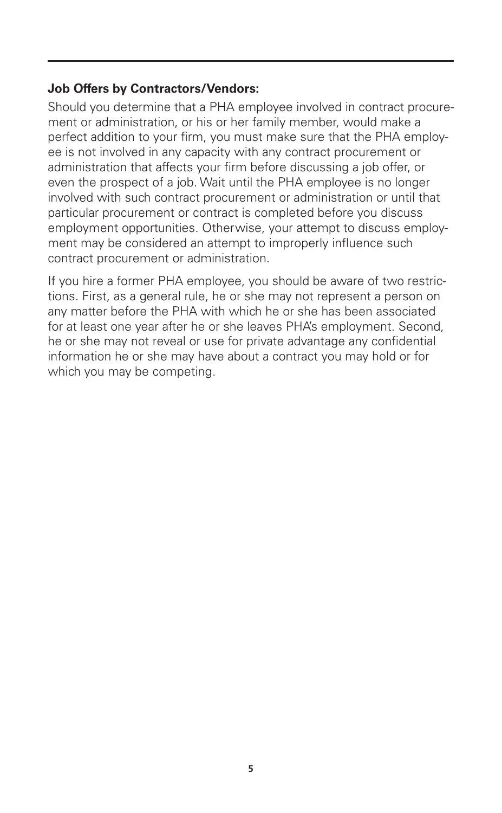#### **Job Offers by Contractors/Vendors:**

Should you determine that a PHA employee involved in contract procurement or administration, or his or her family member, would make a perfect addition to your firm, you must make sure that the PHA employee is not involved in any capacity with any contract procurement or administration that affects your firm before discussing a job offer, or even the prospect of a job. Wait until the PHA employee is no longer involved with such contract procurement or administration or until that particular procurement or contract is completed before you discuss employment opportunities. Otherwise, your attempt to discuss employment may be considered an attempt to improperly influence such contract procurement or administration.

If you hire a former PHA employee, you should be aware of two restrictions. First, as a general rule, he or she may not represent a person on any matter before the PHA with which he or she has been associated for at least one year after he or she leaves PHA's employment. Second, he or she may not reveal or use for private advantage any confidential information he or she may have about a contract you may hold or for which you may be competing.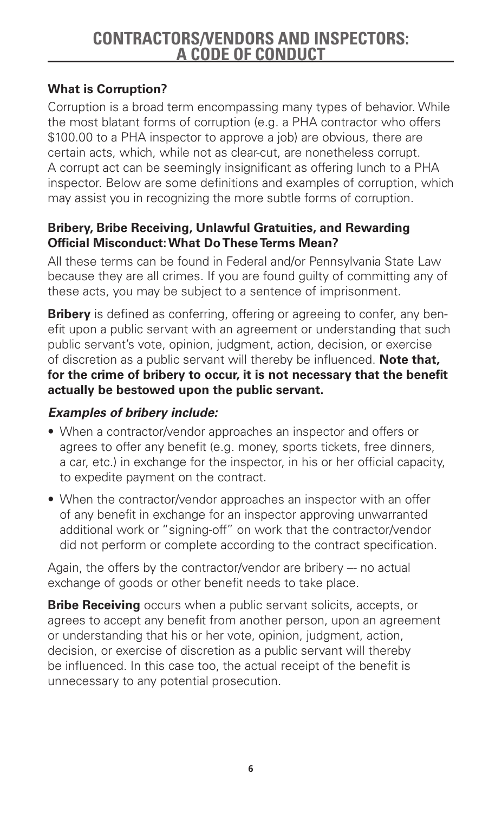# **Contractors/Vendors and Inspectors: A Code of Conduct**

# **What is Corruption?**

Corruption is a broad term encompassing many types of behavior. While the most blatant forms of corruption (e.g. a PHA contractor who offers \$100.00 to a PHA inspector to approve a job) are obvious, there are certain acts, which, while not as clear-cut, are nonetheless corrupt. A corrupt act can be seemingly insignificant as offering lunch to a PHA inspector. Below are some definitions and examples of corruption, which may assist you in recognizing the more subtle forms of corruption.

### **Bribery, Bribe Receiving, Unlawful Gratuities, and Rewarding Official Misconduct: What Do These Terms Mean?**

All these terms can be found in Federal and/or Pennsylvania State Law because they are all crimes. If you are found guilty of committing any of these acts, you may be subject to a sentence of imprisonment.

**Bribery** is defined as conferring, offering or agreeing to confer, any benefit upon a public servant with an agreement or understanding that such public servant's vote, opinion, judgment, action, decision, or exercise of discretion as a public servant will thereby be influenced. **Note that, for the crime of bribery to occur, it is not necessary that the benefit actually be bestowed upon the public servant.**

# *Examples of bribery include:*

- When a contractor/vendor approaches an inspector and offers or agrees to offer any benefit (e.g. money, sports tickets, free dinners, a car, etc.) in exchange for the inspector, in his or her official capacity, to expedite payment on the contract.
- When the contractor/vendor approaches an inspector with an offer of any benefit in exchange for an inspector approving unwarranted additional work or "signing-off" on work that the contractor/vendor did not perform or complete according to the contract specification.

Again, the offers by the contractor/vendor are bribery  $-$  no actual exchange of goods or other benefit needs to take place.

**Bribe Receiving** occurs when a public servant solicits, accepts, or agrees to accept any benefit from another person, upon an agreement or understanding that his or her vote, opinion, judgment, action, decision, or exercise of discretion as a public servant will thereby be influenced. In this case too, the actual receipt of the benefit is unnecessary to any potential prosecution.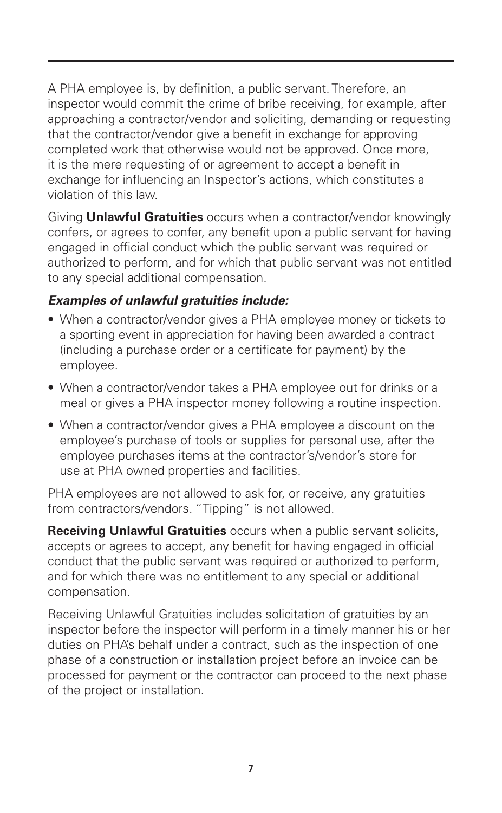A PHA employee is, by definition, a public servant. Therefore, an inspector would commit the crime of bribe receiving, for example, after approaching a contractor/vendor and soliciting, demanding or requesting that the contractor/vendor give a benefit in exchange for approving completed work that otherwise would not be approved. Once more, it is the mere requesting of or agreement to accept a benefit in exchange for influencing an Inspector's actions, which constitutes a violation of this law.

Giving **Unlawful Gratuities** occurs when a contractor/vendor knowingly confers, or agrees to confer, any benefit upon a public servant for having engaged in official conduct which the public servant was required or authorized to perform, and for which that public servant was not entitled to any special additional compensation.

## *Examples of unlawful gratuities include:*

- When a contractor/vendor gives a PHA employee money or tickets to a sporting event in appreciation for having been awarded a contract (including a purchase order or a certificate for payment) by the employee.
- When a contractor/vendor takes a PHA employee out for drinks or a meal or gives a PHA inspector money following a routine inspection.
- When a contractor/vendor gives a PHA employee a discount on the employee's purchase of tools or supplies for personal use, after the employee purchases items at the contractor's/vendor's store for use at PHA owned properties and facilities.

PHA employees are not allowed to ask for, or receive, any gratuities from contractors/vendors. "Tipping" is not allowed.

**Receiving Unlawful Gratuities** occurs when a public servant solicits, accepts or agrees to accept, any benefit for having engaged in official conduct that the public servant was required or authorized to perform, and for which there was no entitlement to any special or additional compensation.

Receiving Unlawful Gratuities includes solicitation of gratuities by an inspector before the inspector will perform in a timely manner his or her duties on PHA's behalf under a contract, such as the inspection of one phase of a construction or installation project before an invoice can be processed for payment or the contractor can proceed to the next phase of the project or installation.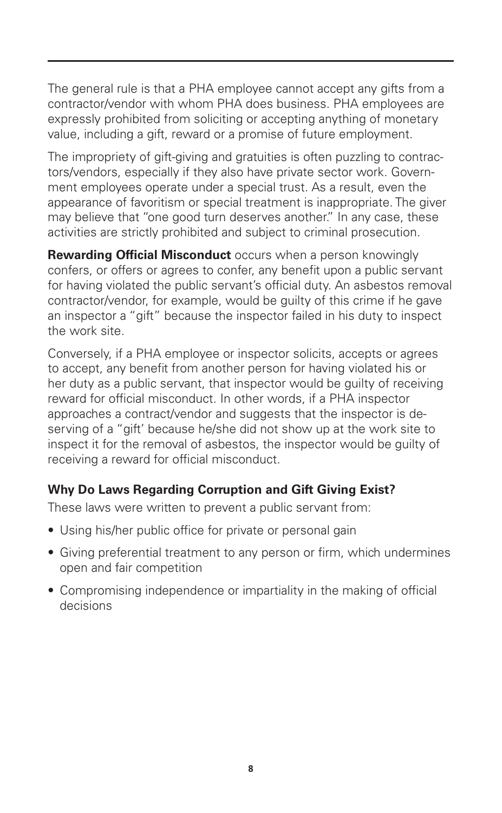The general rule is that a PHA employee cannot accept any gifts from a contractor/vendor with whom PHA does business. PHA employees are expressly prohibited from soliciting or accepting anything of monetary value, including a gift, reward or a promise of future employment.

The impropriety of gift-giving and gratuities is often puzzling to contractors/vendors, especially if they also have private sector work. Government employees operate under a special trust. As a result, even the appearance of favoritism or special treatment is inappropriate. The giver may believe that "one good turn deserves another." In any case, these activities are strictly prohibited and subject to criminal prosecution.

**Rewarding Official Misconduct** occurs when a person knowingly confers, or offers or agrees to confer, any benefit upon a public servant for having violated the public servant's official duty. An asbestos removal contractor/vendor, for example, would be guilty of this crime if he gave an inspector a "gift" because the inspector failed in his duty to inspect the work site.

Conversely, if a PHA employee or inspector solicits, accepts or agrees to accept, any benefit from another person for having violated his or her duty as a public servant, that inspector would be guilty of receiving reward for official misconduct. In other words, if a PHA inspector approaches a contract/vendor and suggests that the inspector is deserving of a "gift' because he/she did not show up at the work site to inspect it for the removal of asbestos, the inspector would be guilty of receiving a reward for official misconduct.

# **Why Do Laws Regarding Corruption and Gift Giving Exist?**

These laws were written to prevent a public servant from:

- Using his/her public office for private or personal gain
- Giving preferential treatment to any person or firm, which undermines open and fair competition
- Compromising independence or impartiality in the making of official decisions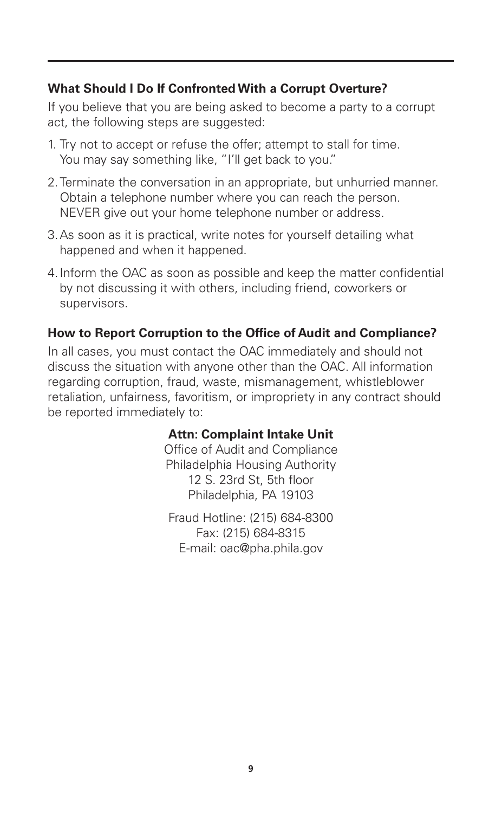### **What Should I Do If Confronted With a Corrupt Overture?**

If you believe that you are being asked to become a party to a corrupt act, the following steps are suggested:

- 1. Try not to accept or refuse the offer; attempt to stall for time. You may say something like, "I'll get back to you."
- 2.Terminate the conversation in an appropriate, but unhurried manner. Obtain a telephone number where you can reach the person. NEVER give out your home telephone number or address.
- 3.As soon as it is practical, write notes for yourself detailing what happened and when it happened.
- 4.Inform the OAC as soon as possible and keep the matter confidential by not discussing it with others, including friend, coworkers or supervisors.

### **How to Report Corruption to the Office of Audit and Compliance?**

In all cases, you must contact the OAC immediately and should not discuss the situation with anyone other than the OAC. All information regarding corruption, fraud, waste, mismanagement, whistleblower retaliation, unfairness, favoritism, or impropriety in any contract should be reported immediately to:

#### **Attn: Complaint Intake Unit**

Office of Audit and Compliance Philadelphia Housing Authority 12 S. 23rd St, 5th floor Philadelphia, PA 19103

Fraud Hotline: (215) 684-8300 Fax: (215) 684-8315 E-mail: oac@pha.phila.gov